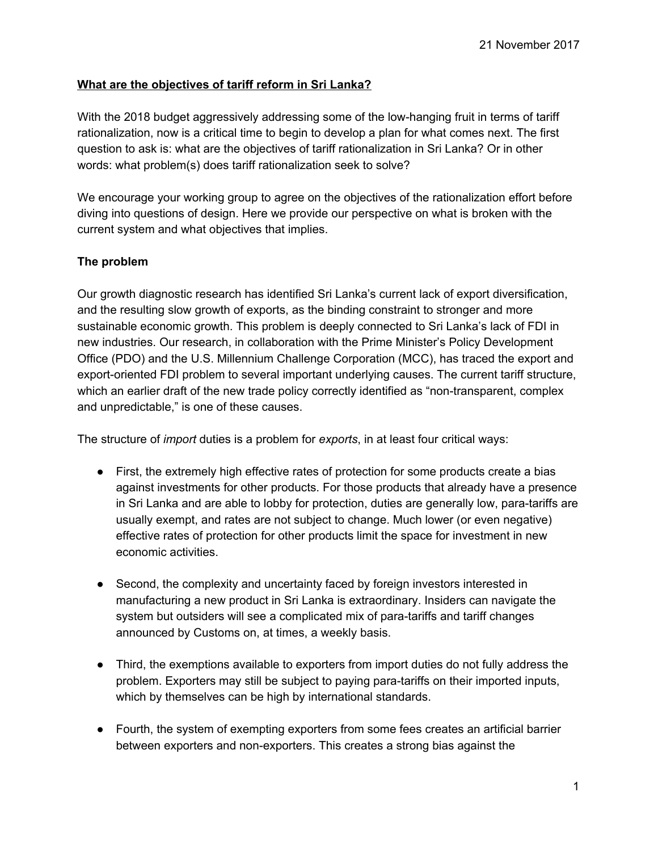## **What are the objectives of tariff reform in Sri Lanka?**

 With the 2018 budget aggressively addressing some of the low-hanging fruit in terms of tariff rationalization, now is a critical time to begin to develop a plan for what comes next. The first question to ask is: what are the objectives of tariff rationalization in Sri Lanka? Or in other words: what problem(s) does tariff rationalization seek to solve?

 We encourage your working group to agree on the objectives of the rationalization effort before diving into questions of design. Here we provide our perspective on what is broken with the current system and what objectives that implies.

## **The problem**

 Our growth diagnostic research has identified Sri Lanka's current lack of export diversification, and the resulting slow growth of exports, as the binding constraint to stronger and more sustainable economic growth. This problem is deeply connected to Sri Lanka's lack of FDI in new industries. Our research, in collaboration with the Prime Minister's Policy Development Office (PDO) and the U.S. Millennium Challenge Corporation (MCC), has traced the export and export-oriented FDI problem to several important underlying causes. The current tariff structure, which an earlier draft of the new trade policy correctly identified as "non-transparent, complex and unpredictable," is one of these causes.

The structure of *import* duties is a problem for *exports*, in at least four critical ways:

- ● First, the extremely high effective rates of protection for some products create a bias against investments for other products. For those products that already have a presence in Sri Lanka and are able to lobby for protection, duties are generally low, para-tariffs are usually exempt, and rates are not subject to change. Much lower (or even negative) effective rates of protection for other products limit the space for investment in new economic activities.
- ● Second, the complexity and uncertainty faced by foreign investors interested in manufacturing a new product in Sri Lanka is extraordinary. Insiders can navigate the system but outsiders will see a complicated mix of para-tariffs and tariff changes announced by Customs on, at times, a weekly basis.
- ● Third, the exemptions available to exporters from import duties do not fully address the problem. Exporters may still be subject to paying para-tariffs on their imported inputs, which by themselves can be high by international standards.
- ● Fourth, the system of exempting exporters from some fees creates an artificial barrier between exporters and non-exporters. This creates a strong bias against the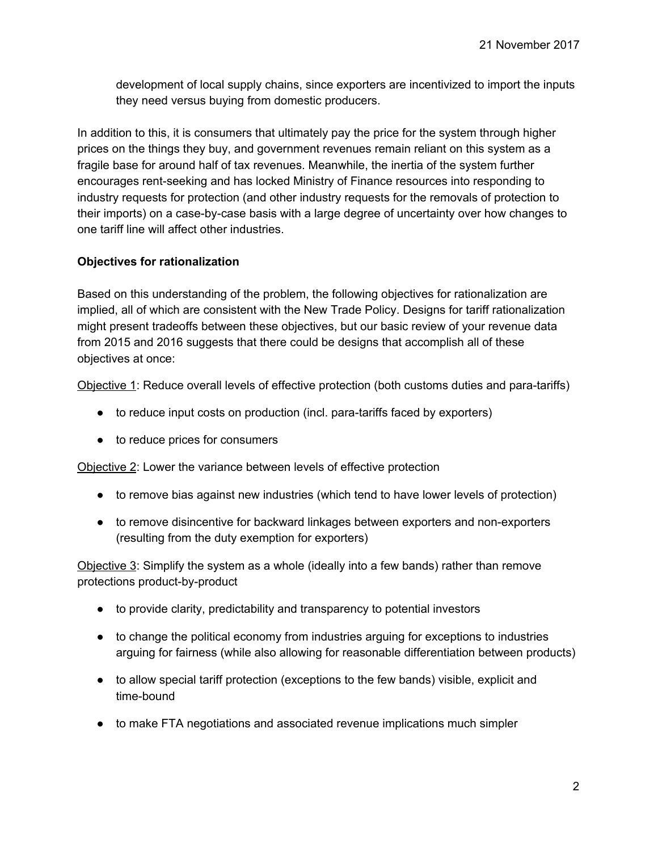development of local supply chains, since exporters are incentivized to import the inputs they need versus buying from domestic producers.

 In addition to this, it is consumers that ultimately pay the price for the system through higher prices on the things they buy, and government revenues remain reliant on this system as a fragile base for around half of tax revenues. Meanwhile, the inertia of the system further encourages rent-seeking and has locked Ministry of Finance resources into responding to industry requests for protection (and other industry requests for the removals of protection to their imports) on a case-by-case basis with a large degree of uncertainty over how changes to one tariff line will affect other industries.

## **Objectives for rationalization**

 Based on this understanding of the problem, the following objectives for rationalization are implied, all of which are consistent with the New Trade Policy. Designs for tariff rationalization might present tradeoffs between these objectives, but our basic review of your revenue data from 2015 and 2016 suggests that there could be designs that accomplish all of these objectives at once:

Objective 1: Reduce overall levels of effective protection (both customs duties and para-tariffs)

- to reduce input costs on production (incl. para-tariffs faced by exporters)
- to reduce prices for consumers

Objective 2: Lower the variance between levels of effective protection

- to remove bias against new industries (which tend to have lower levels of protection)
- to remove disincentive for backward linkages between exporters and non-exporters (resulting from the duty exemption for exporters)

Objective 3: Simplify the system as a whole (ideally into a few bands) rather than remove protections product-by-product

- to provide clarity, predictability and transparency to potential investors
- to change the political economy from industries arguing for exceptions to industries arguing for fairness (while also allowing for reasonable differentiation between products)
- to allow special tariff protection (exceptions to the few bands) visible, explicit and time-bound
- to make FTA negotiations and associated revenue implications much simpler